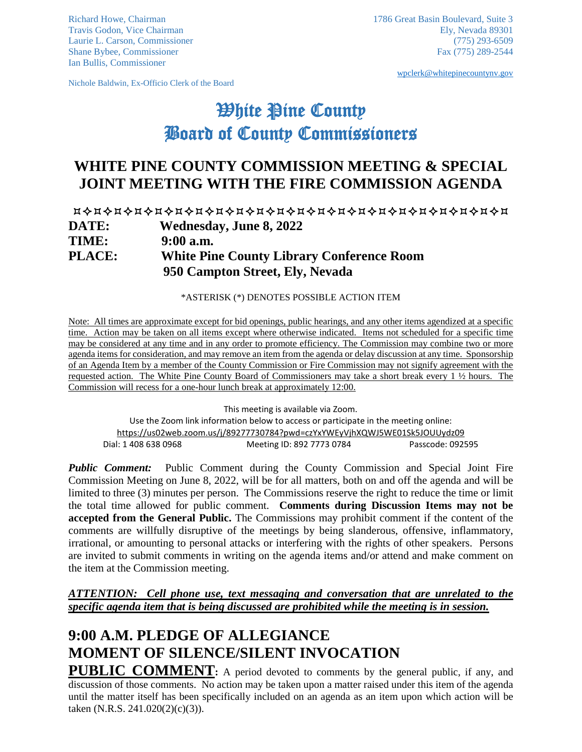Ian Bullis, Commissioner

Nichole Baldwin, Ex-Officio Clerk of the Board

[wpclerk@whitepinecountynv.gov](mailto:wpclerk@whitepinecountynv.gov)

# White Pine County Board of County Commissioners

# **WHITE PINE COUNTY COMMISSION MEETING & SPECIAL JOINT MEETING WITH THE FIRE COMMISSION AGENDA**

| <b>DATE:</b>  | <b>Wednesday, June 8, 2022</b>                                                      |
|---------------|-------------------------------------------------------------------------------------|
| <b>TIME:</b>  | $9:00$ a.m.                                                                         |
| <b>PLACE:</b> | <b>White Pine County Library Conference Room</b><br>950 Campton Street, Ely, Nevada |
|               |                                                                                     |

\*ASTERISK (\*) DENOTES POSSIBLE ACTION ITEM

Note: All times are approximate except for bid openings, public hearings, and any other items agendized at a specific time. Action may be taken on all items except where otherwise indicated. Items not scheduled for a specific time may be considered at any time and in any order to promote efficiency. The Commission may combine two or more agenda items for consideration, and may remove an item from the agenda or delay discussion at any time. Sponsorship of an Agenda Item by a member of the County Commission or Fire Commission may not signify agreement with the requested action. The White Pine County Board of Commissioners may take a short break every 1 ½ hours. The Commission will recess for a one-hour lunch break at approximately 12:00.

This meeting is available via Zoom.

Use the Zoom link information below to access or participate in the meeting online: <https://us02web.zoom.us/j/89277730784?pwd=czYxYWEyVjhXQWJ5WE01Sk5JOUUydz09> Dial: 1 408 638 0968 Meeting ID: 892 7773 0784 Passcode: 092595

*Public Comment:* Public Comment during the County Commission and Special Joint Fire Commission Meeting on June 8, 2022, will be for all matters, both on and off the agenda and will be limited to three (3) minutes per person. The Commissions reserve the right to reduce the time or limit the total time allowed for public comment. **Comments during Discussion Items may not be accepted from the General Public.** The Commissions may prohibit comment if the content of the comments are willfully disruptive of the meetings by being slanderous, offensive, inflammatory, irrational, or amounting to personal attacks or interfering with the rights of other speakers. Persons are invited to submit comments in writing on the agenda items and/or attend and make comment on the item at the Commission meeting.

*ATTENTION: Cell phone use, text messaging and conversation that are unrelated to the specific agenda item that is being discussed are prohibited while the meeting is in session.* 

# **9:00 A.M. PLEDGE OF ALLEGIANCE MOMENT OF SILENCE/SILENT INVOCATION**

**PUBLIC COMMENT:** A period devoted to comments by the general public, if any, and discussion of those comments. No action may be taken upon a matter raised under this item of the agenda until the matter itself has been specifically included on an agenda as an item upon which action will be taken (N.R.S. 241.020(2)(c)(3)).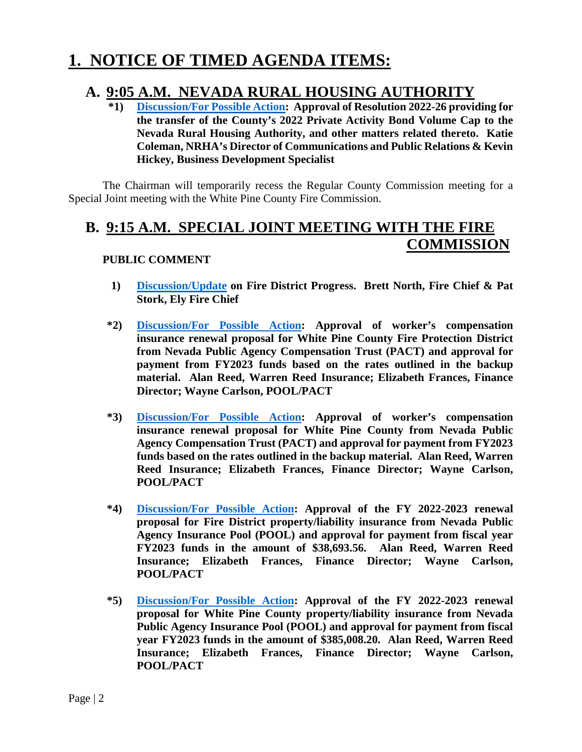# **1. NOTICE OF TIMED AGENDA ITEMS:**

# **A. 9:05 [A.M. NEVADA RURA](https://www.whitepinecounty.net/DocumentCenter/View/8113/1a1)L HOUSING AUTHORITY \*1) Discussion/For Possible Action: Approval of Resolution 2022-26 providing for**

**the transfer of the County's 2022 Private Activity Bond Volume Cap to the Nevada Rural Housing Authority, and other matters related thereto. Katie Coleman, NRHA's Director of Communications and Public Relations & Kevin Hickey, Business Development Specialist**

The Chairman will temporarily recess the Regular County Commission meeting for a Special Joint meeting with the White Pine County Fire Commission.

# **B. 9:15 A.M. SPECIAL JOINT MEETING WITH THE FIRE COMMISSION**

## **PUBLIC COMMENT**

- **1) [Discussion/Update](https://www.whitepinecounty.net/DocumentCenter/View/8114/1b1) on Fire District Progress. Brett North, Fire Chief & Pat Stork, Ely Fire Chief**
- **\*2) [Discussion/For Possible Action:](https://www.whitepinecounty.net/DocumentCenter/View/8115/1b2) Approval of worker's compensation insurance renewal proposal for White Pine County Fire Protection District from Nevada Public Agency Compensation Trust (PACT) and approval for payment from FY2023 funds based on the rates outlined in the backup material. Alan Reed, Warren Reed Insurance; Elizabeth Frances, Finance Director; Wayne Carlson, POOL/PACT**
- **\*3) [Discussion/For Possible Action:](https://www.whitepinecounty.net/DocumentCenter/View/8116/1b3) Approval of worker's compensation insurance renewal proposal for White Pine County from Nevada Public Agency Compensation Trust (PACT) and approval for payment from FY2023 funds based on the rates outlined in the backup material. Alan Reed, Warren Reed Insurance; Elizabeth Frances, Finance Director; Wayne Carlson, POOL/PACT**
- **\*4) [Discussion/For Possible Action:](https://www.whitepinecounty.net/DocumentCenter/View/8117/1b4) Approval of the FY 2022-2023 renewal proposal for Fire District property/liability insurance from Nevada Public Agency Insurance Pool (POOL) and approval for payment from fiscal year FY2023 funds in the amount of \$38,693.56. Alan Reed, Warren Reed Insurance; Elizabeth Frances, Finance Director; Wayne Carlson, POOL/PACT**
- **\*5) [Discussion/For Possible Action:](https://www.whitepinecounty.net/DocumentCenter/View/8118/1b5) Approval of the FY 2022-2023 renewal proposal for White Pine County property/liability insurance from Nevada Public Agency Insurance Pool (POOL) and approval for payment from fiscal year FY2023 funds in the amount of \$385,008.20. Alan Reed, Warren Reed Insurance; Elizabeth Frances, Finance Director; Wayne Carlson, POOL/PACT**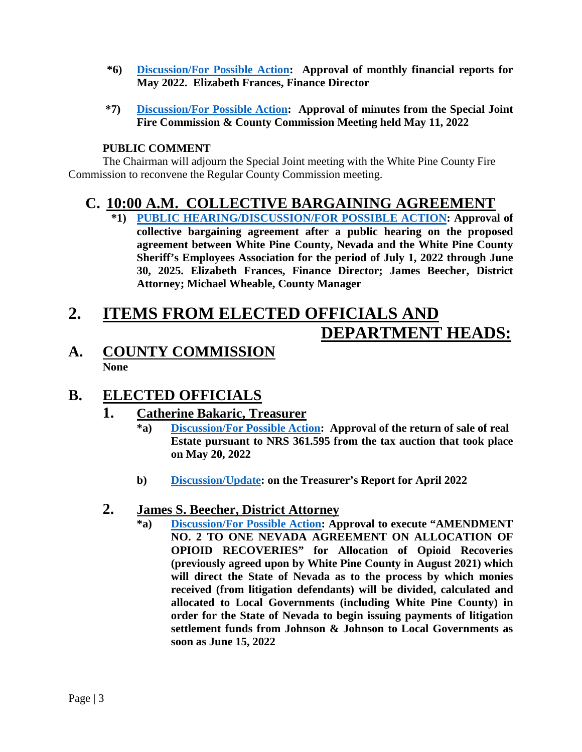- **\*6) [Discussion/For Possible Action:](https://www.whitepinecounty.net/DocumentCenter/View/8119/1b6) Approval of monthly financial reports for May 2022. Elizabeth Frances, Finance Director**
- **\*7) [Discussion/For Possible Action:](https://www.whitepinecounty.net/DocumentCenter/View/8120/1b7) Approval of minutes from the Special Joint Fire Commission & County Commission Meeting held May 11, 2022**

## **PUBLIC COMMENT**

The Chairman will adjourn the Special Joint meeting with the White Pine County Fire Commission to reconvene the Regular County Commission meeting.

## **C. 10:00 A.M. COLLECTIVE BARGAINING AGREEMENT**

**\*1) [PUBLIC HEARING/DISCUSSION/FOR POSSIBLE ACTION:](https://www.whitepinecounty.net/DocumentCenter/View/8121/1c1) Approval of collective bargaining agreement after a public hearing on the proposed agreement between White Pine County, Nevada and the White Pine County Sheriff's Employees Association for the period of July 1, 2022 through June 30, 2025. Elizabeth Frances, Finance Director; James Beecher, District Attorney; Michael Wheable, County Manager**

# **2. ITEMS FROM ELECTED OFFICIALS AND DEPARTMENT HEADS:**

## **A. COUNTY COMMISSION None**

# **B. ELECTED OFFICIALS**

## **1. Catherine Bakaric, Treasurer**

- **\*a) [Discussion/For Possible Action:](https://www.whitepinecounty.net/DocumentCenter/View/8122/2b1a) Approval of the return of sale of real Estate pursuant to NRS 361.595 from the tax auction that took place on May 20, 2022**
- **b) [Discussion/Update:](https://www.whitepinecounty.net/DocumentCenter/View/8123/2b1b) on the Treasurer's Report for April 2022**

## **2. James S. Beecher, District Attorney**

**\*a) [Discussion/For Possible Action:](https://www.whitepinecounty.net/DocumentCenter/View/8124/2b2a) Approval to execute "AMENDMENT NO. 2 TO ONE NEVADA AGREEMENT ON ALLOCATION OF OPIOID RECOVERIES" for Allocation of Opioid Recoveries (previously agreed upon by White Pine County in August 2021) which will direct the State of Nevada as to the process by which monies received (from litigation defendants) will be divided, calculated and allocated to Local Governments (including White Pine County) in order for the State of Nevada to begin issuing payments of litigation settlement funds from Johnson & Johnson to Local Governments as soon as June 15, 2022**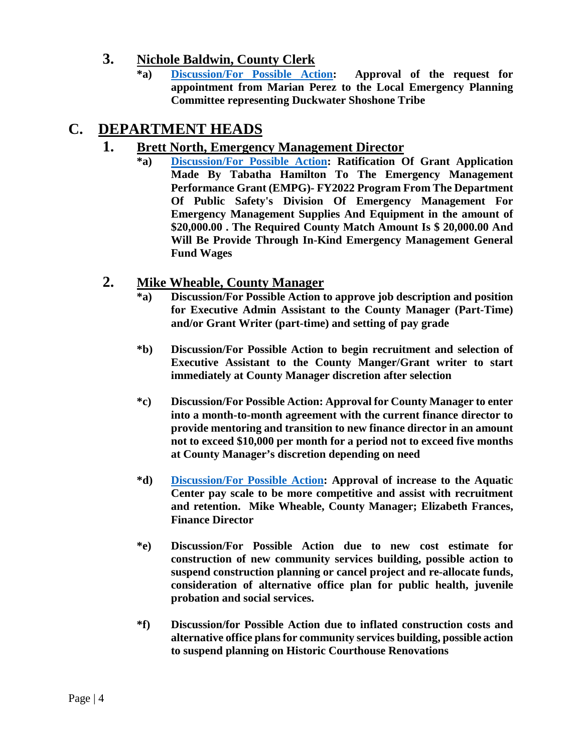## **3. Nichole Baldwin, County Clerk**

**\*a) [Discussion/For Possible Action:](https://www.whitepinecounty.net/DocumentCenter/View/8125/2b3a) Approval of the request for appointment from Marian Perez to the Local Emergency Planning Committee representing Duckwater Shoshone Tribe**

# **C. DEPARTMENT HEADS**

## **1. Brett North, Emergency Management Director**

**\*a) [Discussion/For Possible Action:](https://www.whitepinecounty.net/DocumentCenter/View/8126/2c1a) Ratification Of Grant Application Made By Tabatha Hamilton To The Emergency Management Performance Grant (EMPG)- FY2022 Program From The Department Of Public Safety's Division Of Emergency Management For Emergency Management Supplies And Equipment in the amount of \$20,000.00 . The Required County Match Amount Is \$ 20,000.00 And Will Be Provide Through In-Kind Emergency Management General Fund Wages**

## **2. Mike Wheable, County Manager**

- **\*a) Discussion/For Possible Action to approve job description and position for Executive Admin Assistant to the County Manager (Part-Time) and/or Grant Writer (part-time) and setting of pay grade**
- **\*b) Discussion/For Possible Action to begin recruitment and selection of Executive Assistant to the County Manger/Grant writer to start immediately at County Manager discretion after selection**
- **\*c) Discussion/For Possible Action: Approval for County Manager to enter into a month-to-month agreement with the current finance director to provide mentoring and transition to new finance director in an amount not to exceed \$10,000 per month for a period not to exceed five months at County Manager's discretion depending on need**
- **\*d) [Discussion/For Possible Action:](https://www.whitepinecounty.net/DocumentCenter/View/8127/2c2d) Approval of increase to the Aquatic Center pay scale to be more competitive and assist with recruitment and retention. Mike Wheable, County Manager; Elizabeth Frances, Finance Director**
- **\*e) Discussion/For Possible Action due to new cost estimate for construction of new community services building, possible action to suspend construction planning or cancel project and re-allocate funds, consideration of alternative office plan for public health, juvenile probation and social services.**
- **\*f) Discussion/for Possible Action due to inflated construction costs and alternative office plans for community services building, possible action to suspend planning on Historic Courthouse Renovations**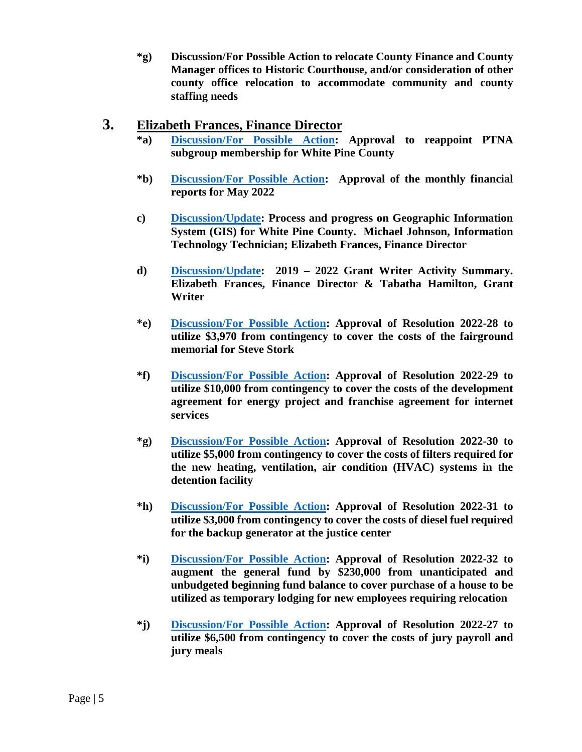**\*g) Discussion/For Possible Action to relocate County Finance and County Manager offices to Historic Courthouse, and/or consideration of other county office relocation to accommodate community and county staffing needs**

## **3. Elizabeth Frances, Finance Director**

- **\*a) [Discussion/For Possible Action:](https://www.whitepinecounty.net/DocumentCenter/View/8128/2c3a) Approval to reappoint PTNA subgroup membership for White Pine County**
- **\*b) [Discussion/For Possible Action:](https://www.whitepinecounty.net/DocumentCenter/View/8129/2c3b) Approval of the monthly financial reports for May 2022**
- **c) [Discussion/Update:](https://www.whitepinecounty.net/DocumentCenter/View/8130/2c3c) Process and progress on Geographic Information System (GIS) for White Pine County. Michael Johnson, Information Technology Technician; Elizabeth Frances, Finance Director**
- **d) [Discussion/Update:](https://www.whitepinecounty.net/DocumentCenter/View/8131/2c3d) 2019 – 2022 Grant Writer Activity Summary. Elizabeth Frances, Finance Director & Tabatha Hamilton, Grant Writer**
- **\*e) [Discussion/For Possible Action:](https://www.whitepinecounty.net/DocumentCenter/View/8132/2c3e) Approval of Resolution 2022-28 to utilize \$3,970 from contingency to cover the costs of the fairground memorial for Steve Stork**
- **\*f) [Discussion/For Possible Action:](https://www.whitepinecounty.net/DocumentCenter/View/8133/2c3f) Approval of Resolution 2022-29 to utilize \$10,000 from contingency to cover the costs of the development agreement for energy project and franchise agreement for internet services**
- **\*g) [Discussion/For Possible Action:](https://www.whitepinecounty.net/DocumentCenter/View/8134/2c3g) Approval of Resolution 2022-30 to utilize \$5,000 from contingency to cover the costs of filters required for the new heating, ventilation, air condition (HVAC) systems in the detention facility**
- **\*h) [Discussion/For Possible Action:](https://www.whitepinecounty.net/DocumentCenter/View/8135/2c3h) Approval of Resolution 2022-31 to utilize \$3,000 from contingency to cover the costs of diesel fuel required for the backup generator at the justice center**
- **\*i) [Discussion/For Possible Action:](https://www.whitepinecounty.net/DocumentCenter/View/8136/2c3i) Approval of Resolution 2022-32 to augment the general fund by \$230,000 from unanticipated and unbudgeted beginning fund balance to cover purchase of a house to be utilized as temporary lodging for new employees requiring relocation**
- **\*j) [Discussion/For Possible Action:](https://www.whitepinecounty.net/DocumentCenter/View/8137/2c3j) Approval of Resolution 2022-27 to utilize \$6,500 from contingency to cover the costs of jury payroll and jury meals**